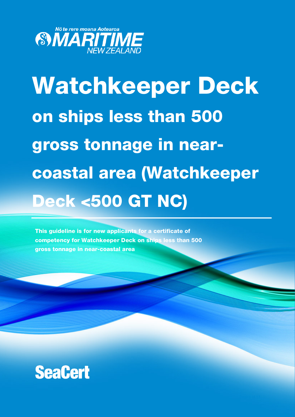

# Watchkeeper Deck on ships less than 500 gross tonnage in nearcoastal area (Watchkeeper Deck <500 GT NC)

This guideline is for new applicants for a certificate of competency for Watchkeeper Deck on ships less than 500 gross tonnage in near-coastal area

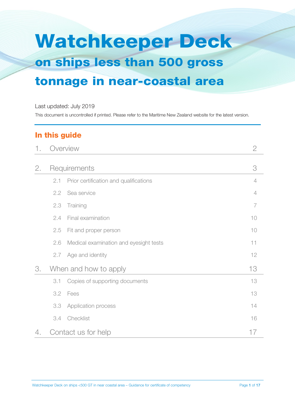# Watchkeeper Deck on ships less than 500 gross tonnage in near-coastal area

#### Last updated: July 2019

This document is uncontrolled if printed. Please refer to the Maritime New Zealand website for the latest version.

## In this guide

| 1. | Overview              |                                        | $\mathbf{2}$   |
|----|-----------------------|----------------------------------------|----------------|
| 2. |                       | Requirements                           | 3              |
|    | 2.1                   | Prior certification and qualifications | 4              |
|    | 2.2                   | Sea service                            | 4              |
|    | 2.3                   | Training                               | $\overline{7}$ |
|    | 2.4                   | Final examination                      | 10             |
|    | 2.5                   | Fit and proper person                  | 10             |
|    | 2.6                   | Medical examination and eyesight tests | 11             |
|    | 2.7                   | Age and identity                       | 12             |
| 3. | When and how to apply |                                        | 13             |
|    | 3.1                   | Copies of supporting documents         | 13             |
|    | 3.2                   | Fees                                   | 13             |
|    | 3.3                   | Application process                    | 14             |
|    | 3.4                   | Checklist                              | 16             |
| 4. | Contact us for help   |                                        | 17             |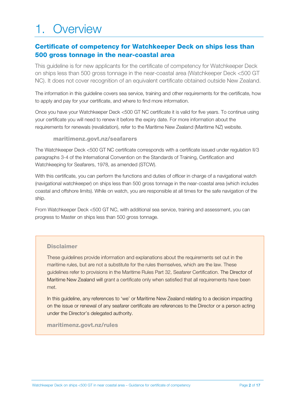## 1. Overview

#### Certificate of competency for Watchkeeper Deck on ships less than 500 gross tonnage in the near-coastal area

This guideline is for new applicants for the certificate of competency for Watchkeeper Deck on ships less than 500 gross tonnage in the near-coastal area (Watchkeeper Deck <500 GT NC). It does not cover recognition of an equivalent certificate obtained outside New Zealand.

The information in this guideline covers sea service, training and other requirements for the certificate, how to apply and pay for your certificate, and where to find more information.

Once you have your Watchkeeper Deck <500 GT NC certificate it is valid for five years. To continue using your certificate you will need to renew it before the expiry date. For more information about the requirements for renewals (revalidation), refer to the Maritime New Zealand (Maritime NZ) website.

#### maritimenz.govt.nz/seafarers

The Watchkeeper Deck <500 GT NC certificate corresponds with a certificate issued under regulation II/3 paragraphs 3-4 of the International Convention on the Standards of Training, Certification and Watchkeeping for Seafarers, 1978, as amended (STCW).

With this certificate, you can perform the functions and duties of officer in charge of a navigational watch (navigational watchkeeper) on ships less than 500 gross tonnage in the near-coastal area (which includes coastal and offshore limits). While on watch, you are responsible at all times for the safe navigation of the ship.

From Watchkeeper Deck <500 GT NC, with additional sea service, training and assessment, you can progress to Master on ships less than 500 gross tonnage.

#### **Disclaimer**

These guidelines provide information and explanations about the requirements set out in the maritime rules, but are not a substitute for the rules themselves, which are the law. These guidelines refer to provisions in the Maritime Rules Part 32, Seafarer Certification. The Director of Maritime New Zealand will grant a certificate only when satisfied that all requirements have been met.

In this guideline, any references to 'we' or Maritime New Zealand relating to a decision impacting on the issue or renewal of any seafarer certificate are references to the Director or a person acting under the Director's delegated authority.

#### maritimenz.govt.nz/rules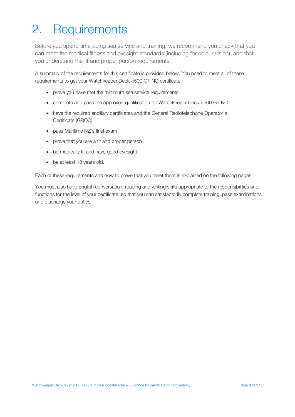# 2. Requirements

Before you spend time doing sea service and training, we recommend you check that you can meet the medical fitness and eyesight standards (including for colour vision), and that you understand the fit and proper person requirements.

A summary of the requirements for this certificate is provided below. You need to meet all of these requirements to get your Watchkeeper Deck <500 GT NC certificate.

- prove you have met the minimum sea service requirements
- complete and pass the approved qualification for Watchkeeper Deck <500 GT NC
- have the required ancillary certificates and the General Radiotelephone Operator's Certificate (GROC)
- pass Maritime NZ's final exam
- prove that you are a fit and proper person
- be medically fit and have good eyesight
- be at least 18 years old.

Each of these requirements and how to prove that you meet them is explained on the following pages.

You must also have English conversation, reading and writing skills appropriate to the responsibilities and functions for the level of your certificate, so that you can satisfactorily complete training, pass examinations and discharge your duties.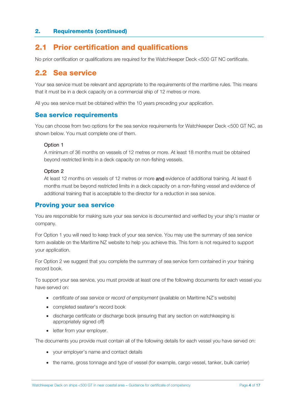#### 2.1 Prior certification and qualifications

No prior certification or qualifications are required for the Watchkeeper Deck <500 GT NC certificate.

#### 2.2 Sea service

Your sea service must be relevant and appropriate to the requirements of the maritime rules. This means that it must be in a deck capacity on a commercial ship of 12 metres or more.

All you sea service must be obtained within the 10 years preceding your application.

#### Sea service requirements

You can choose from two options for the sea service requirements for Watchkeeper Deck <500 GT NC, as shown below. You must complete one of them.

#### Option 1

A minimum of 36 months on vessels of 12 metres or more. At least 18 months must be obtained beyond restricted limits in a deck capacity on non-fishing vessels.

#### Option 2

At least 12 months on vessels of 12 metres or more and evidence of additional training. At least 6 months must be beyond restricted limits in a deck capacity on a non-fishing vessel and evidence of additional training that is acceptable to the director for a reduction in sea service.

#### Proving your sea service

You are responsible for making sure your sea service is documented and verified by your ship's master or company.

For Option 1 you will need to keep track of your sea service. You may use the summary of sea service form available on the Maritime NZ website to help you achieve this. This form is not required to support your application.

For Option 2 we suggest that you complete the summary of sea service form contained in your training record book.

To support your sea service, you must provide at least one of the following documents for each vessel you have served on:

- *certificate of sea service* or *record of employment* (available on Maritime NZ's website)
- completed seafarer's record book
- discharge certificate or discharge book (ensuring that any section on watchkeeping is appropriately signed off)
- letter from your employer.

The documents you provide must contain all of the following details for each vessel you have served on:

- your employer's name and contact details
- the name, gross tonnage and type of vessel (for example, cargo vessel, tanker, bulk carrier)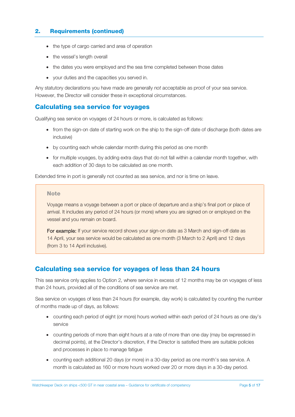- the type of cargo carried and area of operation
- the vessel's length overall
- the dates you were employed and the sea time completed between those dates
- your duties and the capacities you served in.

Any statutory declarations you have made are generally *not* acceptable as proof of your sea service. However, the Director will consider these in exceptional circumstances.

#### Calculating sea service for voyages

Qualifying sea service on voyages of 24 hours or more, is calculated as follows:

- from the sign-on date of starting work on the ship to the sign-off date of discharge (both dates are inclusive)
- by counting each whole calendar month during this period as one month
- for multiple voyages, by adding extra days that do not fall within a calendar month together, with each addition of 30 days to be calculated as one month.

Extended time in port is generally not counted as sea service, and nor is time on leave.

#### **Note**

Voyage means a voyage between a port or place of departure and a ship's final port or place of arrival. It includes any period of 24 hours (or more) where you are signed on or employed on the vessel and you remain on board.

For example: If your service record shows your sign-on date as 3 March and sign-off date as 14 April, your sea service would be calculated as one month (3 March to 2 April) and 12 days (from 3 to 14 April inclusive).

#### Calculating sea service for voyages of less than 24 hours

This sea service only applies to Option 2, where service in excess of 12 months may be on voyages of less than 24 hours, provided all of the conditions of sea service are met.

Sea service on voyages of less than 24 hours (for example, day work) is calculated by counting the number of months made up of days, as follows:

- counting each period of eight (or more) hours worked within each period of 24 hours as one day's service
- counting periods of more than eight hours at a rate of more than one day (may be expressed in decimal points), at the Director's discretion, if the Director is satisfied there are suitable policies and processes in place to manage fatigue
- counting each additional 20 days (or more) in a 30-day period as one month's sea service. A month is calculated as 160 or more hours worked over 20 or more days in a 30-day period.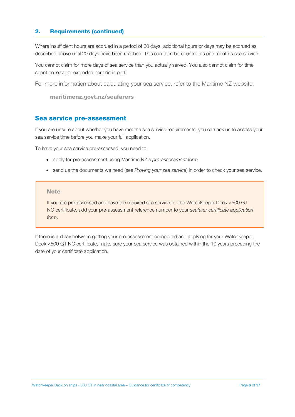Where insufficient hours are accrued in a period of 30 days, additional hours or days may be accrued as described above until 20 days have been reached. This can then be counted as one month's sea service.

You cannot claim for more days of sea service than you actually served. You also cannot claim for time spent on leave or extended periods in port.

For more information about calculating your sea service, refer to the Maritime NZ website.

```
maritimenz.govt.nz/seafarers
```
#### Sea service pre-assessment

If you are unsure about whether you have met the sea service requirements, you can ask us to assess your sea service time before you make your full application.

To have your sea service pre-assessed, you need to:

- apply for pre-assessment using Maritime NZ's *pre-assessment form*
- send us the documents we need (see *Proving your sea service*) in order to check your sea service.

#### **Note**

If you are pre-assessed and have the required sea service for the Watchkeeper Deck <500 GT NC certificate, add your pre-assessment reference number to your *seafarer certificate application form*.

If there is a delay between getting your pre-assessment completed and applying for your Watchkeeper Deck <500 GT NC certificate, make sure your sea service was obtained within the 10 years preceding the date of your certificate application.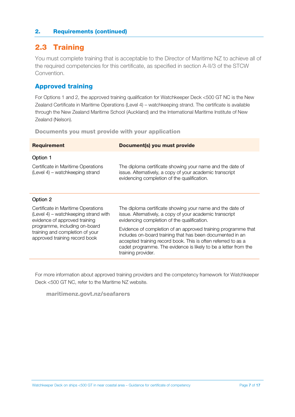## 2.3 Training

You must complete training that is acceptable to the Director of Maritime NZ to achieve all of the required competencies for this certificate, as specified in section A-II/3 of the STCW Convention.

#### Approved training

For Options 1 and 2, the approved training qualification for Watchkeeper Deck <500 GT NC is the New Zealand Certificate in Maritime Operations (Level 4) – watchkeeping strand. The certificate is available through the New Zealand Maritime School (Auckland) and the International Maritime Institute of New Zealand (Nelson).

Documents you must provide with your application

| <b>Requirement</b>                                                                                          | <b>Document(s) you must provide</b>                                                                                                                                                                                                                                                  |
|-------------------------------------------------------------------------------------------------------------|--------------------------------------------------------------------------------------------------------------------------------------------------------------------------------------------------------------------------------------------------------------------------------------|
| Option 1                                                                                                    |                                                                                                                                                                                                                                                                                      |
| Certificate in Maritime Operations<br>(Level 4) – watchkeeping strand                                       | The diploma certificate showing your name and the date of<br>issue. Alternatively, a copy of your academic transcript<br>evidencing completion of the qualification.                                                                                                                 |
| Option 2                                                                                                    |                                                                                                                                                                                                                                                                                      |
| Certificate in Maritime Operations<br>(Level 4) – watchkeeping strand with<br>evidence of approved training | The diploma certificate showing your name and the date of<br>issue. Alternatively, a copy of your academic transcript<br>evidencing completion of the qualification.                                                                                                                 |
| programme, including on-board<br>training and completion of your<br>approved training record book           | Evidence of completion of an approved training programme that<br>includes on-board training that has been documented in an<br>accepted training record book. This is often referred to as a<br>cadet programme. The evidence is likely to be a letter from the<br>training provider. |

For more information about approved training providers and the competency framework for Watchkeeper Deck <500 GT NC, refer to the Maritime NZ website.

maritimenz.govt.nz/seafarers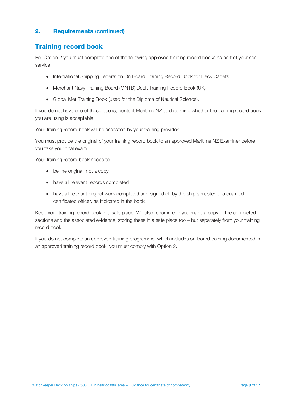#### Training record book

For Option 2 you must complete one of the following approved training record books as part of your sea service:

- International Shipping Federation On Board Training Record Book for Deck Cadets
- Merchant Navy Training Board (MNTB) Deck Training Record Book (UK)
- Global Met Training Book (used for the Diploma of Nautical Science).

If you do not have one of these books, contact Maritime NZ to determine whether the training record book you are using is acceptable.

Your training record book will be assessed by your training provider.

You must provide the original of your training record book to an approved Maritime NZ Examiner before you take your final exam.

Your training record book needs to:

- be the original, not a copy
- have all relevant records completed
- have all relevant project work completed and signed off by the ship's master or a qualified certificated officer, as indicated in the book.

Keep your training record book in a safe place. We also recommend you make a copy of the completed sections and the associated evidence, storing these in a safe place too – but separately from your training record book.

If you do not complete an approved training programme, which includes on-board training documented in an approved training record book, you must comply with Option 2.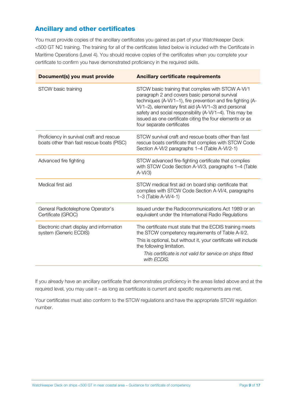#### Ancillary and other certificates

You must provide copies of the ancillary certificates you gained as part of your Watchkeeper Deck <500 GT NC training. The training for all of the certificates listed below is included with the Certificate in Maritime Operations (Level 4). You should receive copies of the certificates when you complete your certificate to confirm you have demonstrated proficiency in the required skills.

| Document(s) you must provide                                                          | <b>Ancillary certificate requirements</b>                                                                                                                                                                                                                                                                                                                                           |
|---------------------------------------------------------------------------------------|-------------------------------------------------------------------------------------------------------------------------------------------------------------------------------------------------------------------------------------------------------------------------------------------------------------------------------------------------------------------------------------|
| STCW basic training                                                                   | STCW basic training that complies with STCW A-VI/1<br>paragraph 2 and covers basic personal survival<br>techniques (A-VI/1-1), fire prevention and fire fighting (A-<br>VI/1-2), elementary first aid (A-VI/1-3) and personal<br>safety and social responsibility (A-VI/1-4). This may be<br>issued as one certificate citing the four elements or as<br>four separate certificates |
| Proficiency in survival craft and rescue<br>boats other than fast rescue boats (PISC) | STCW survival craft and rescue boats other than fast<br>rescue boats certificate that complies with STCW Code<br>Section A-VI/2 paragraphs 1-4 (Table A-VI/2-1)                                                                                                                                                                                                                     |
| Advanced fire fighting                                                                | STCW advanced fire-fighting certificate that complies<br>with STCW Code Section A-VI/3, paragraphs 1-4 (Table<br>$A-VI/3$                                                                                                                                                                                                                                                           |
| Medical first aid                                                                     | STCW medical first aid on board ship certificate that<br>complies with STCW Code Section A-VI/4, paragraphs<br>1-3 (Table A-VI/4-1)                                                                                                                                                                                                                                                 |
| General Radiotelephone Operator's<br>Certificate (GROC)                               | Issued under the Radiocommunications Act 1989 or an<br>equivalent under the International Radio Regulations                                                                                                                                                                                                                                                                         |
| Electronic chart display and information<br>system (Generic ECDIS)                    | The certificate must state that the ECDIS training meets<br>the STCW competency requirements of Table A-II/2.<br>This is optional, but without it, your certificate will include<br>the following limitation.<br>This certificate is not valid for service on ships fitted<br>with ECDIS.                                                                                           |

If you already have an ancillary certificate that demonstrates proficiency in the areas listed above and at the required level, you may use it – as long as certificate is current and specific requirements are met.

Your certificates must also conform to the STCW regulations and have the appropriate STCW regulation number.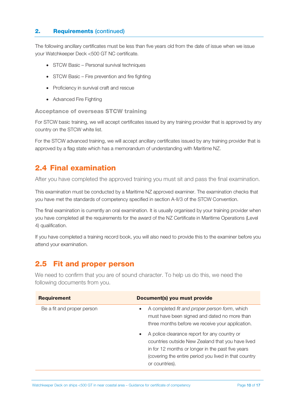The following ancillary certificates must be less than five years old from the date of issue when we issue your Watchkeeper Deck <500 GT NC certificate.

- STCW Basic Personal survival techniques
- STCW Basic Fire prevention and fire fighting
- Proficiency in survival craft and rescue
- Advanced Fire Fighting

Acceptance of overseas STCW training

For STCW basic training, we will accept certificates issued by any training provider that is approved by any country on the STCW white list.

For the STCW advanced training, we will accept ancillary certificates issued by any training provider that is approved by a flag state which has a memorandum of understanding with Maritime NZ.

## 2.4 Final examination

After you have completed the approved training you must sit and pass the final examination.

This examination must be conducted by a Maritime NZ approved examiner. The examination checks that you have met the standards of competency specified in section A-II/3 of the STCW Convention.

The final examination is currently an oral examination. It is usually organised by your training provider when you have completed all the requirements for the award of the NZ Certificate in Maritime Operations (Level 4) qualification.

If you have completed a training record book, you will also need to provide this to the examiner before you attend your examination.

#### 2.5 Fit and proper person

We need to confirm that you are of sound character. To help us do this, we need the following documents from you.

| <b>Requirement</b>         | Document(s) you must provide                                                                                                                                                                                                                   |
|----------------------------|------------------------------------------------------------------------------------------------------------------------------------------------------------------------------------------------------------------------------------------------|
| Be a fit and proper person | A completed fit and proper person form, which<br>must have been signed and dated no more than<br>three months before we receive your application.                                                                                              |
|                            | A police clearance report for any country or<br>$\bullet$<br>countries outside New Zealand that you have lived<br>in for 12 months or longer in the past five years<br>(covering the entire period you lived in that country<br>or countries). |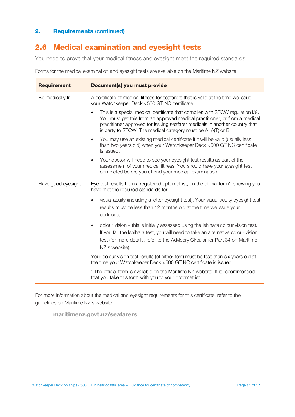## 2.6 Medical examination and eyesight tests

You need to prove that your medical fitness and eyesight meet the required standards.

Forms for the medical examination and eyesight tests are available on the Maritime NZ website.

| <b>Requirement</b> | Document(s) you must provide                                                                                                                                                                                                                                                                               |
|--------------------|------------------------------------------------------------------------------------------------------------------------------------------------------------------------------------------------------------------------------------------------------------------------------------------------------------|
| Be medically fit   | A certificate of medical fitness for seafarers that is valid at the time we issue<br>your Watchkeeper Deck <500 GT NC certificate.                                                                                                                                                                         |
|                    | This is a special medical certificate that complies with STCW regulation I/9.<br>You must get this from an approved medical practitioner, or from a medical<br>practitioner approved for issuing seafarer medicals in another country that<br>is party to STCW. The medical category must be A, A(T) or B. |
|                    | You may use an existing medical certificate if it will be valid (usually less<br>$\bullet$<br>than two years old) when your Watchkeeper Deck <500 GT NC certificate<br>is issued.                                                                                                                          |
|                    | Your doctor will need to see your eyesight test results as part of the<br>$\bullet$<br>assessment of your medical fitness. You should have your eyesight test<br>completed before you attend your medical examination.                                                                                     |
| Have good eyesight | Eye test results from a registered optometrist, on the official form*, showing you<br>have met the required standards for:                                                                                                                                                                                 |
|                    | visual acuity (including a letter eyesight test). Your visual acuity eyesight test<br>results must be less than 12 months old at the time we issue your<br>certificate                                                                                                                                     |
|                    | colour vision – this is initially assessed using the Ishihara colour vision test.<br>$\bullet$<br>If you fail the Ishihara test, you will need to take an alternative colour vision<br>test (for more details, refer to the Advisory Circular for Part 34 on Maritime<br>NZ's website).                    |
|                    | Your colour vision test results (of either test) must be less than six years old at<br>the time your Watchkeeper Deck <500 GT NC certificate is issued.                                                                                                                                                    |
|                    | * The official form is available on the Maritime NZ website. It is recommended<br>that you take this form with you to your optometrist.                                                                                                                                                                    |

For more information about the medical and eyesight requirements for this certificate, refer to the guidelines on Maritime NZ's website.

maritimenz.govt.nz/seafarers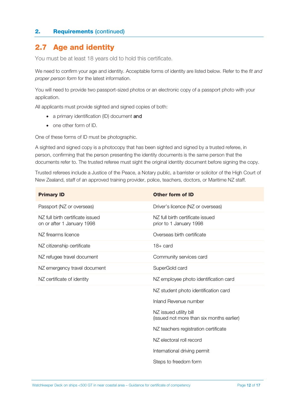### 2.7 Age and identity

You must be at least 18 years old to hold this certificate.

We need to confirm your age and identity. Acceptable forms of identity are listed below. Refer to the *fit and proper person form* for the latest information.

You will need to provide two passport-sized photos or an electronic copy of a passport photo with your application.

All applicants must provide sighted and signed copies of both:

- a primary identification (ID) document and
- one other form of ID.

One of these forms of ID must be photographic.

A sighted and signed copy is a photocopy that has been sighted and signed by a trusted referee, in person, confirming that the person presenting the identity documents is the same person that the documents refer to. The trusted referee must sight the original identity document before signing the copy.

Trusted referees include a Justice of the Peace, a Notary public, a barrister or solicitor of the High Court of New Zealand, staff of an approved training provider, police, teachers, doctors, or Maritime NZ staff.

| <b>Primary ID</b>                                              | Other form of ID                                                    |
|----------------------------------------------------------------|---------------------------------------------------------------------|
| Passport (NZ or overseas)                                      | Driver's licence (NZ or overseas)                                   |
| NZ full birth certificate issued<br>on or after 1 January 1998 | NZ full birth certificate issued<br>prior to 1 January 1998         |
| NZ firearms licence                                            | Overseas birth certificate                                          |
| NZ citizenship certificate                                     | $18 + \text{card}$                                                  |
| NZ refugee travel document                                     | Community services card                                             |
| NZ emergency travel document                                   | SuperGold card                                                      |
| NZ certificate of identity                                     | NZ employee photo identification card                               |
|                                                                | NZ student photo identification card                                |
|                                                                | Inland Revenue number                                               |
|                                                                | NZ issued utility bill<br>(issued not more than six months earlier) |
|                                                                | NZ teachers registration certificate                                |
|                                                                | NZ electoral roll record                                            |
|                                                                | International driving permit                                        |
|                                                                | Steps to freedom form                                               |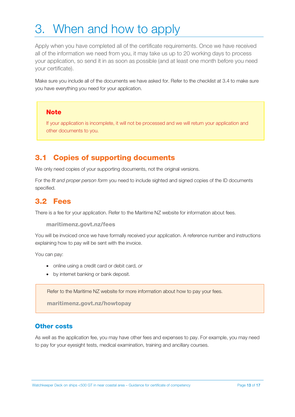# 3. When and how to apply

Apply when you have completed all of the certificate requirements. Once we have received all of the information we need from you, it may take us up to 20 working days to process your application, so send it in as soon as possible (and at least one month before you need your certificate).

Make sure you include all of the documents we have asked for. Refer to the checklist at 3.4 to make sure you have everything you need for your application.

#### **Note**

If your application is incomplete, it will not be processed and we will return your application and other documents to you.

#### 3.1 Copies of supporting documents

We only need copies of your supporting documents, not the original versions.

For the *fit and proper person form* you need to include sighted and signed copies of the ID documents specified.

#### 3.2 Fees

There is a fee for your application. Refer to the Maritime NZ website for information about fees.

maritimenz.govt.nz/fees

You will be invoiced once we have formally received your application. A reference number and instructions explaining how to pay will be sent with the invoice.

You can pay:

- online using a credit card or debit card, *or*
- by internet banking or bank deposit.

Refer to the Maritime NZ website for more information about how to pay your fees.

maritimenz.govt.nz/howtopay

#### **Other costs**

As well as the application fee, you may have other fees and expenses to pay. For example, you may need to pay for your eyesight tests, medical examination, training and ancillary courses.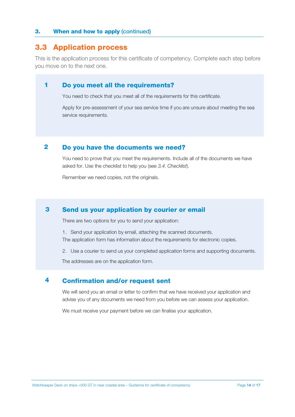#### 3. When and how to apply (continued)

#### 3.3 Application process

This is the application process for this certificate of competency. Complete each step before you move on to the next one.

#### Do you meet all the requirements? 1

You need to check that you meet all of the requirements for this certificate.

Apply for pre-assessment of your sea service time if you are unsure about meeting the sea service requirements.

#### Do you have the documents we need? 2

You need to prove that you meet the requirements. Include all of the documents we have asked for. Use the checklist to help you (see *3.4. Checklist*).

Remember we need copies, not the originals.

#### Send us your application by courier or email 3

There are two options for you to send your application:

- 1. Send your application by email, attaching the scanned documents. The application form has information about the requirements for electronic copies.
- 2. Use a courier to send us your completed application forms and supporting documents.

The addresses are on the application form.

#### Confirmation and/or request sent 4

We will send you an email or letter to confirm that we have received your application and advise you of any documents we need from you before we can assess your application.

We must receive your payment before we can finalise your application.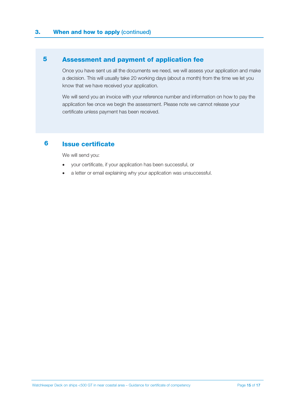#### Assessment and payment of application fee 5

Once you have sent us all the documents we need, we will assess your application and make a decision. This will usually take 20 working days (about a month) from the time we let you know that we have received your application.

We will send you an invoice with your reference number and information on how to pay the application fee once we begin the assessment. Please note we cannot release your certificate unless payment has been received.

#### Issue certificate 6

We will send you:

- your certificate, if your application has been successful, or
- a letter or email explaining why your application was unsuccessful.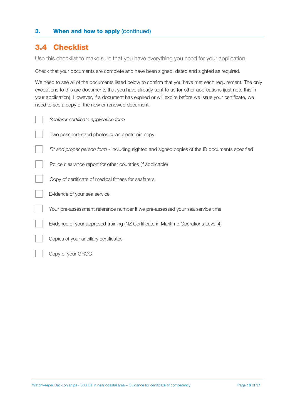#### **3.** When and how to apply (continued)

### 3.4 Checklist

Use this checklist to make sure that you have everything you need for your application.

Check that your documents are complete and have been signed, dated and sighted as required.

We need to see all of the documents listed below to confirm that you have met each requirement. The only exceptions to this are documents that you have already sent to us for other applications (just note this in your application). However, if a document has expired or will expire before we issue your certificate, we need to see a copy of the new or renewed document.

| Seafarer certificate application form                                                          |
|------------------------------------------------------------------------------------------------|
| Two passport-sized photos or an electronic copy                                                |
| Fit and proper person form - including sighted and signed copies of the ID documents specified |
| Police clearance report for other countries (if applicable)                                    |
| Copy of certificate of medical fitness for seafarers                                           |
| Evidence of your sea service                                                                   |
| Your pre-assessment reference number if we pre-assessed your sea service time                  |
| Evidence of your approved training (NZ Certificate in Maritime Operations Level 4)             |
| Copies of your ancillary certificates                                                          |
| Copy of your GROC                                                                              |